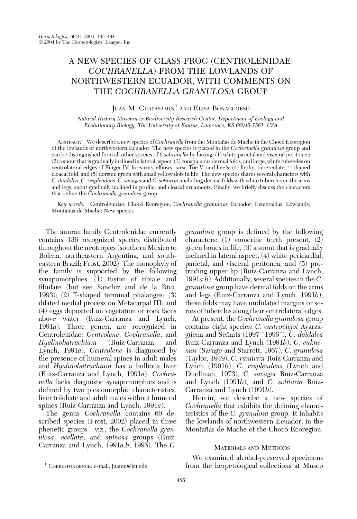# A NEW SPECIES OF GLASS FROG (CENTROLENIDAE: COCHRANELLA) FROM THE LOWLANDS OF NORTHWESTERN ECUADOR, WITH COMMENTS ON THE COCHRANELLA GRANULOSA GROUP

## JUAN M. GUAYASAMIN<sup>1</sup> AND ELISA BONACCORSO

Natural History Museum & Biodiversity Research Center, Department of Ecology and Evolutionary Biology, The University of Kansas, Lawrence, KS 66045-7561, USA

ABSTRACT: We describe a new species of Cochranella from the Montañas de Mache in the Chocó Ecoregion of the lowlands of northwestern Ecuador. The new species is placed in the Cochranella granulosa group and can be distinguished from all other species of Cochranella by having: (1) white parietal and visceral peritonea; (2) a snout that is gradually inclined in lateral aspect; (3) conspicuous dermal folds, and large, white tubercles on ventrolateral edges of Finger IV, forearms, elbows, tarsi, Toe V, and heels; (4) fleshy, tuberculate,  $\cap$ -shaped cloacal fold; and (5) dorsum green with small yellow dots in life. The new species shares several characters with C. daidalea, C. resplendens, C. savagei and C. solitaria, including dermal folds with white tubercles on the arms and legs, snout gradually inclined in profile, and cloacal ornaments. Finally, we briefly discuss the characters that define the Cochranella granulosa group.

Key words: Centrolenidae; Chocó Ecoregion; Cochranella granulosa; Ecuador; Esmeraldas; Lowlands; Montañas de Mache; New species

The anuran family Centrolenidae currently contains 136 recognized species distributed throughout the neotropics (southern Mexico to Bolivia, northeastern Argentina, and southeastern Brazil; Frost, 2002). The monophyly of the family is supported by the following synapomorphies: (1) fusion of tibiale and fibulare (but see Sanchiz and de la Riva, 1993); (2) T-shaped terminal phalanges; (3) dilated medial process on Metacarpal III; and (4) eggs deposited on vegetation or rock faces above water (Ruiz-Carranza and Lynch, 1991a). Three genera are recognized in Centrolenidae: Centrolene, Cochranella, and Hyalinobatrachium (Ruiz-Carranza and Lynch, 1991a). Centrolene is diagnosed by the presence of humeral spines in adult males and Hyalinobatrachium has a bulbous liver (Ruiz-Carranza and Lynch, 1991a). Cochranella lacks diagnostic synapomorphies and is defined by two plesiomorphic characteristics, liver trilobate and adult males without humeral spines (Ruiz-Carranza and Lynch, 1991a).

The genus Cochranella contains 60 described species (Frost, 2002) placed in three phenetic groups—viz., the Cochranella granulosa, ocellata, and spinosa groups (Ruiz-Carranza and Lynch, 1991 $a,b$ , 1995). The C. granulosa group is defined by the following characters: (1) vomerine teeth present, (2) green bones in life, (3) a snout that is gradually inclined in lateral aspect, (4) white pericardial, parietal, and visceral peritonea, and (5) protruding upper lip (Ruiz-Carranza and Lynch, 1991 $a,b$ ). Additionally, several species in the C. granulosa group have dermal folds on the arms and legs (Ruiz-Carranza and Lynch, 1991b); these folds may have undulated margins or series of tubercles along their ventrolateral edges.

At present, the Cochranella granulosa group contains eight species: C. castroviejoi Ayarzagüena and Señaris (1997 "1996"), C. daidalea Ruiz-Carranza and Lynch (1991b), C. euknemos (Savage and Starrett, 1967), C. granulosa (Taylor, 1949), C. ramirezi Ruiz-Carranza and Lynch (1991b), C. resplendens (Lynch and Duellman, 1973), C. savagei Ruiz-Carranza and Lynch (1991b), and C. solitaria Ruiz-Carranza and Lynch (1991b).

Herein, we describe a new species of Cochranella that exhibits the defining characteristics of the C. granulosa group. It inhabits the lowlands of northwestern Ecuador, in the Montañas de Mache of the Chocó Ecoregion.

## MATERIALS AND METHODS

We examined alcohol-preserved specimens <sup>1</sup> CORRESPONDENCE: e-mail, juanm@ku.edu from the herpetological collections at Museo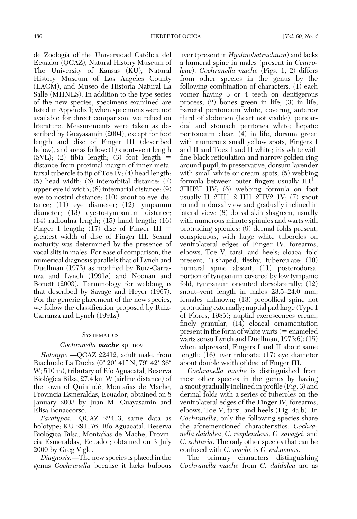de Zoología of the Universidad Católica del Ecuador (QCAZ), Natural History Museum of The University of Kansas (KU), Natural History Museum of Los Angeles County (LACM), and Museo de Historia Natural La Salle (MHNLS). In addition to the type series of the new species, specimens examined are listed in Appendix I; when specimens were not available for direct comparison, we relied on literature. Measurements were taken as described by Guayasamin (2004), except for foot length and disc of Finger III (described below), and are as follow: (1) snout–vent length  $(SVL); (2)$  tibia length; (3) foot length  $=$ distance from proximal margin of inner metatarsal tubercle to tip of Toe IV; (4) head length; (5) head width; (6) interorbital distance; (7) upper eyelid width; (8) internarial distance; (9) eye-to-nostril distance; (10) snout-to-eye distance; (11) eye diameter; (12) tympanum diameter; (13) eye-to-tympanum distance; (14) radioulna length; (15) hand length; (16) Finger I length;  $(17)$  disc of Finger III = greatest width of disc of Finger III. Sexual maturity was determined by the presence of vocal slits in males. For ease of comparison, the numerical diagnosis parallels that of Lynch and Duellman (1973) as modified by Ruiz-Carranza and Lynch (1991a) and Noonan and Bonett (2003). Terminology for webbing is that described by Savage and Heyer (1967). For the generic placement of the new species, we follow the classification proposed by Ruiz-Carranza and Lynch (1991a).

## **SYSTEMATICS**

### Cochranella **mache** sp. nov.

Holotype.—QCAZ 22412, adult male, from Riachuelo La Ducha (0° 20' 41" N, 79° 42' 36" W; 510 m), tributary of Río Aguacatal, Reserva Biológica Bilsa, 27.4 km W (airline distance) of the town of Quinindé, Montañas de Mache, Provincia Esmeraldas, Ecuador; obtained on 8 January 2003 by Juan M. Guayasamin and Elisa Bonaccorso.

Paratypes.—QCAZ 22413, same data as holotype; KU 291176, Río Aguacatal, Reserva Biológica Bilsa, Montañas de Mache, Provincia Esmeraldas, Ecuador; obtained on 3 July 2000 by Greg Vigle.

Diagnosis.—The new species is placed in the genus Cochranella because it lacks bulbous liver (present in *Hyalinobatrachium*) and lacks a humeral spine in males (present in Centrolene). Cochranella mache (Figs. 1, 2) differs from other species in the genus by the following combination of characters: (1) each vomer having 3 or 4 teeth on dentigerous process; (2) bones green in life; (3) in life, parietal peritoneum white, covering anterior third of abdomen (heart not visible); pericardial and stomach peritonea white; hepatic peritoneum clear; (4) in life, dorsum green with numerous small yellow spots, Fingers I and II and Toes I and II white; iris white with fine black reticulation and narrow golden ring around pupil; in preservative, dorsum lavender with small white or cream spots; (5) webbing formula between outer fingers usually  $III^+$  $3^+$ III2<sup>-</sup>-1IV; (6) webbing formula on foot usually I1–2<sup>-</sup>II1–2 III1–2<sup>-</sup>IV2–1V; (7) snout round in dorsal view and gradually inclined in lateral view; (8) dorsal skin shagreen, usually with numerous minute spinules and warts with protruding spicules; (9) dermal folds present, conspicuous, with large white tubercles on ventrolateral edges of Finger IV, forearms, elbows, Toe V, tarsi, and heels; cloacal fold present,  $\cap$ -shaped, fleshy, tuberculate; (10) humeral spine absent; (11) posterodorsal portion of tympanum covered by low tympanic fold, tympanum oriented dorsolaterally; (12) snout–vent length in males 23.5–24.0 mm; females unknown; (13) prepollical spine not protruding externally; nuptial pad large (Type I of Flores, 1985); nuptial excrescences cream, finely granular; (14) cloacal ornamentation present in the form of white warts  $(=$  enameled warts sensu Lynch and Duellman, 1973:6); (15) when adpressed, Fingers I and II about same length; (16) liver trilobate; (17) eye diameter about double width of disc of Finger III.

Cochranella mache is distinguished from most other species in the genus by having a snout gradually inclined in profile (Fig. 3) and dermal folds with a series of tubercles on the ventrolateral edges of the Finger IV, forearms, elbows, Toe V, tarsi, and heels (Fig. 4a,b). In Cochranella, only the following species share the aforementioned characteristics: Cochranella daidalea, C. resplendens, C. savagei, and C. solitaria. The only other species that can be confused with C. mache is C. euknemos.

The primary characters distinguishing Cochranella mache from C. daidalea are as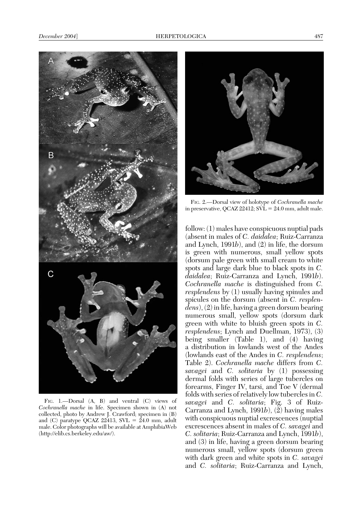

FIG. 1.—Dorsal (A, B) and ventral (C) views of Cochranella mache in life. Specimen shown in (A) not collected, photo by Andrew J. Crawford; specimen in (B) and (C) paratype QCAZ 22413,  $SVL = 24.0$  mm, adult male. Color photographs will be available at AmphibiaWeb (http://elib.cs.berkeley.edu/aw/).



FIG. 2.—Dorsal view of holotype of Cochranella mache in preservative, QCAZ  $22412$ ;  $SVL = 24.0$  mm, adult male.

follow: (1) males have conspicuous nuptial pads (absent in males of C. daidalea; Ruiz-Carranza and Lynch, 1991b), and (2) in life, the dorsum is green with numerous, small yellow spots (dorsum pale green with small cream to white spots and large dark blue to black spots in C. daidalea; Ruiz-Carranza and Lynch, 1991b). Cochranella mache is distinguished from C. resplendens by (1) usually having spinules and spicules on the dorsum (absent in C. resplendens), (2) in life, having a green dorsum bearing numerous small, yellow spots (dorsum dark green with white to bluish green spots in C. resplendens; Lynch and Duellman, 1973), (3) being smaller (Table 1), and (4) having a distribution in lowlands west of the Andes (lowlands east of the Andes in C. resplendens; Table 2). Cochranella mache differs from C. savagei and C. solitaria by (1) possessing dermal folds with series of large tubercles on forearms, Finger IV, tarsi, and Toe V (dermal folds with series of relatively low tubercles in C. savagei and C. solitaria; Fig. 3 of Ruiz-Carranza and Lynch, 1991b),  $(\overline{2})$  having males with conspicuous nuptial excrescences (nuptial excrescences absent in males of C. savagei and C. solitaria; Ruiz-Carranza and Lynch, 1991b), and (3) in life, having a green dorsum bearing numerous small, yellow spots (dorsum green with dark green and white spots in C. savagei and C. solitaria; Ruiz-Carranza and Lynch,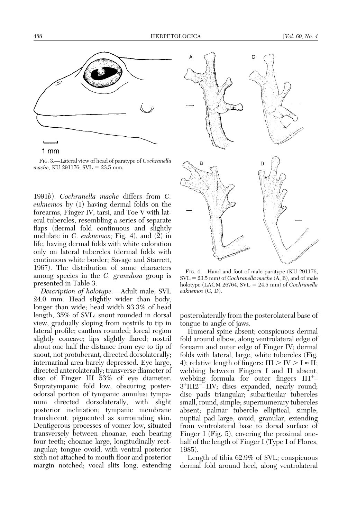

1 mm

FIG. 3.—Lateral view of head of paratype of Cochranella mache, KU 291176; SVL =  $23.5$  mm.

1991b). Cochranella mache differs from C. euknemos by (1) having dermal folds on the forearms, Finger IV, tarsi, and Toe V with lateral tubercles, resembling a series of separate flaps (dermal fold continuous and slightly undulate in C. euknemos; Fig. 4), and (2) in life, having dermal folds with white coloration only on lateral tubercles (dermal folds with continuous white border; Savage and Starrett, 1967). The distribution of some characters among species in the C. granulosa group is presented in Table 3.

Description of holotype.—Adult male, SVL 24.0 mm. Head slightly wider than body, longer than wide; head width 93.3% of head length, 35% of SVL; snout rounded in dorsal view, gradually sloping from nostrils to tip in lateral profile; canthus rounded; loreal region slightly concave; lips slightly flared; nostril about one half the distance from eye to tip of snout, not protuberant, directed dorsolaterally; internarinal area barely depressed. Eye large, directed anterolaterally; transverse diameter of disc of Finger III 53% of eye diameter. Supratympanic fold low, obscuring posterodorsal portion of tympanic annulus; tympanum directed dorsolaterally, with slight posterior inclination; tympanic membrane translucent, pigmented as surrounding skin. Dentigerous processes of vomer low, situated transversely between choanae, each bearing four teeth; choanae large, longitudinally rectangular; tongue ovoid, with ventral posterior sixth not attached to mouth floor and posterior margin notched; vocal slits long, extending



FIG. 4.—Hand and foot of male paratype (KU 291176,  $SVL = 23.5$  mm) of *Cochranella mache*  $(A, B)$ , and of male holotype (LACM 26764, SVL =  $24.5$  mm) of Cochranella euknemos (C, D).

posterolaterally from the posterolateral base of tongue to angle of jaws.

Humeral spine absent; conspicuous dermal fold around elbow, along ventrolateral edge of forearm and outer edge of Finger IV; dermal folds with lateral, large, white tubercles (Fig. 4); relative length of fingers:  $III > IV > I \approx II$ ; webbing between Fingers I and II absent, webbing formula for outer fingers  $III^+$ 3<sup>+</sup>III2<sup>-2</sup>-1IV; discs expanded, nearly round; disc pads triangular; subarticular tubercles small, round, simple; supernumerary tubercles absent; palmar tubercle elliptical, simple; nuptial pad large, ovoid, granular, extending from ventrolateral base to dorsal surface of Finger I (Fig. 5), covering the proximal onehalf of the length of Finger I (Type I of Flores, 1985).

Length of tibia 62.9% of SVL; conspicuous dermal fold around heel, along ventrolateral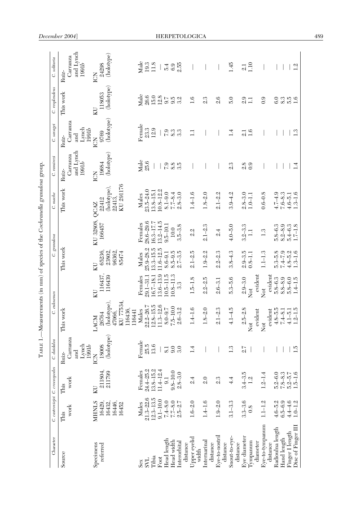|                            |                            |                                           |                                                        | TABLE 1.-Measurements (in mm) of species of the Cochranella granulosa group. |                   |                                                          |                        |                                                                   |                                                      |                                                    |                      |                                         |
|----------------------------|----------------------------|-------------------------------------------|--------------------------------------------------------|------------------------------------------------------------------------------|-------------------|----------------------------------------------------------|------------------------|-------------------------------------------------------------------|------------------------------------------------------|----------------------------------------------------|----------------------|-----------------------------------------|
| Character                  |                            | C. astroviejoi C. croceopodes             | C. daidalea                                            | Ġ                                                                            | euknemos          | Ġ                                                        | grannlos a             | C. mache                                                          | C. ramirezi                                          | C. savagei                                         | C. resplendens       | C. solitaria                            |
| Source                     | work<br>This               | work<br>This                              | Carranza<br>$_{\rm Lyach}^{\rm Lyach}$<br>and<br>Ruiz- | This work                                                                    |                   | This work                                                |                        | This work                                                         | and Lynch<br>Carranza<br>1991b<br>Ruiz-              | Carranza<br>$_{1991b}^{\rm Lyrch}$<br>and<br>Ruiz- | This work            | and Lynch<br>Carranza<br>1991b<br>Ruiz- |
| Specimens                  | <b>NIHNLS</b>              | KU                                        | ICN                                                    | LACM                                                                         | ΚU                | КU                                                       | KU 32808,              | QCAZ                                                              | ICN                                                  | ICN                                                | КU                   |                                         |
| referred                   | 16446,<br>16432,<br>16429, | 211804<br>211799                          | $\left( \text{holype} \right)$<br>18008                | (holotype),<br>47066,<br>26764                                               | 116437,<br>116439 | 65236,<br>23802,<br>96362,<br>85474                      | 166457                 | $\begin{array}{l} \text{(hodype)},\\ 22413, \end{array}$<br>22412 | (holotype)<br>19684                                  | (holotype)<br>9769                                 | (holotype)<br>118053 | (holotype)<br>$\text{ICN} \atop 24298$  |
|                            | 16452                      |                                           |                                                        | KU 77534,<br>116436,<br>116441                                               |                   |                                                          |                        | KU 291176                                                         |                                                      |                                                    |                      |                                         |
| Sex                        | Males                      | Females                                   |                                                        | Males                                                                        | Females           | Males                                                    | Females                | $\begin{array}{c} \rm{Males} \\ 23.5\text{--}24.0 \end{array}$    | $\begin{array}{c}\n\text{Male} \\ 25.6\n\end{array}$ | Female                                             | Male                 |                                         |
| <b>TAS</b>                 | $21.3 - 22.6$              | $24.4-25.2$<br>13.8-15.2<br>11.4-12.4     | Female<br>25.5<br>13.6                                 | $22.2 - 26.7$                                                                | 29.1-31.1         | $25.9 - 28.2$<br>13.3-15.5                               | $28.6 - 29.6$          |                                                                   |                                                      | $23.3\,$                                           | 26.6                 | $Male$<br>$19.3$<br>$11.8$              |
| Tibia                      | $12.3 - 13.5$              |                                           |                                                        | $12.8 - 15.5$                                                                | $16.7 - 18.1$     |                                                          | 16.3-17.7              | $3.8 - 15.1$                                                      |                                                      | 12.9                                               | $15.0\,$             |                                         |
| $_{\text{Foot}}$           | $9.1 - 10.0$               |                                           |                                                        | $11.3 - 12.6$                                                                | $.3.6 - 13.9$     | $11.6 - 12.5$                                            | $13.2 - 14.5$          | $0.8 - 12.2$                                                      |                                                      |                                                    | 12.8                 |                                         |
| Head length                | $7.4 - 8.0$                | $\overline{9}$ .                          | 8.1                                                    | $8.0 - 9.7$                                                                  | $10.5 - 11.5$     | $8.6 - 9.1$                                              | $9.5 - 10.1$           | $8.1 - 9.0$                                                       | $\overline{7}$ .9                                    | $\overline{r}$ .9                                  | 9.7                  | 5.4                                     |
| Head width                 | $7.7 - 8.0$                | $9.8 - 10.0$                              | 9.0                                                    | $7.5 - 10.0$                                                                 | $10.8 - 11.3$     | $8.5 - 9.5$<br>2.7-3.5                                   | $10.0$                 | $7.7 - 8.4$                                                       | 8.5<br>3.5                                           | 8.3                                                | 9.3<br>3.2           | $6.9$<br>$2.55$                         |
| Interorbital<br>distance   | $2.5 - 2.7$                | $2.8 - 3.0$                               | 3.0                                                    | $2.6 - 3.2$                                                                  | 3.3               |                                                          | $3.5 - 3.8$            | $2.8 - 3.0$                                                       |                                                      | 3.3                                                |                      |                                         |
| Upper eyelid<br>width      | $1.6 - 2.0$                | 2.4                                       | 1.4                                                    | $1.4 - 1.6$                                                                  | $1.5 - 1.8$       | $2.1 - 2.5$                                              | Οj<br>αį               | $1.4 - 1.6$                                                       |                                                      | $\Xi$                                              | 1.6                  |                                         |
| Internarinal<br>distance   | $1.4 - 1.6$                | 2.0                                       |                                                        | $1.8 - 2.0$                                                                  | $2.2 - 2.5$       | $1.9 - 2.2$                                              | $2.1 - 2.3$            | $1.8 - 2.0$                                                       |                                                      |                                                    | 2.3                  |                                         |
| Eye-to-nostril<br>distance | $1.9 - 2.0$                | 2.3                                       |                                                        | $2.1 - 2.3$                                                                  | $2.6 - 3.1$       | $2.2 - 2.3$                                              | 2.4                    | $2.1 - 2.2$                                                       |                                                      |                                                    | 2.6                  |                                         |
| Snout-to-eye-              | $3.1 - 3.3$                | $\frac{4}{4}$                             | $\mathbf{L}^3$                                         | $4.1 - 4.5$                                                                  | $5.3 - 5.6$       | $3.8 - 4.3$                                              | $4.0 - 5.0$            | $3.9 - 4.2$                                                       | 2.3                                                  | $\frac{4}{1}$                                      | 5.0                  | 1.45                                    |
| distance                   |                            |                                           |                                                        |                                                                              |                   |                                                          |                        |                                                                   |                                                      |                                                    |                      |                                         |
| Eye diameter               | $3.3 - 3.6$                | $3.4 - 3.5$                               | 21                                                     | $2.5 - 2.8$                                                                  | $2.9 - 3.0$       | $2.9 - 3.5$<br>0.8-1.1                                   | $3.2 - 3.3$<br>1.1     | $2.8 - 3.0$                                                       | 2.8                                                  | $\frac{1}{2}$                                      | 2.9                  | $\frac{1}{2}$                           |
| Tympanum<br>diameter       | 0.8                        | 1.2                                       |                                                        | evident<br><b>z</b>                                                          | evident<br>Not    |                                                          |                        | $1.0 - 1.1$                                                       | 0.9                                                  | 1.6                                                | $\Box$               | 1.10                                    |
| Eye-to-tympanum            | $1.1 - 1.2$                | $1.2 - 1.4$                               |                                                        | Not                                                                          | Not               | $.1 - 1.3$                                               | 1.3                    | $0.6 - 0.8$                                                       |                                                      |                                                    | 0.9                  |                                         |
| distance                   |                            |                                           |                                                        | evident                                                                      | evident           |                                                          |                        |                                                                   |                                                      |                                                    |                      |                                         |
| Radioulna length           | $4.6 - 5.2$                | $5.2 - 6.0$                               |                                                        | $4.8 - 5.5$                                                                  | $5.8 - 6.3$       |                                                          | $5.8 - 6.3$            |                                                                   |                                                      |                                                    | 6.0                  |                                         |
| Hand length                | $6.5 - 6.9$                | $7.8 - 8.3$<br>$5.2 - 5.7$<br>$1.5 - 1.6$ |                                                        | $7.4 - 8.1$                                                                  | $8.8 - 8.9$       | $5.3 - 5.8$<br>$7.4 - 7.9$<br>$4.8 - 5.2$<br>$1.3 - 1.6$ | $8.2 - 8.9$            | $4.74.9$<br>$7.6 - 8.3$<br>$4.6 - 5.1$<br>$1.3 - 1.6$             |                                                      |                                                    | 310 H<br>310 H       |                                         |
| Finger I length            | $4.4 - 4.6$                |                                           |                                                        | $4.1 - 5.1$<br>1.2-1.5                                                       | $5.8 - 6.0$       |                                                          | $5.4 - 6.3$<br>1.7-1.8 |                                                                   |                                                      |                                                    |                      |                                         |
| Disc of Finger III         | $1.0 - 1.2$                |                                           | 1.5                                                    |                                                                              | $1.4 - 1.5$       |                                                          |                        |                                                                   | $\overline{14}$                                      | 13                                                 |                      | 1.2                                     |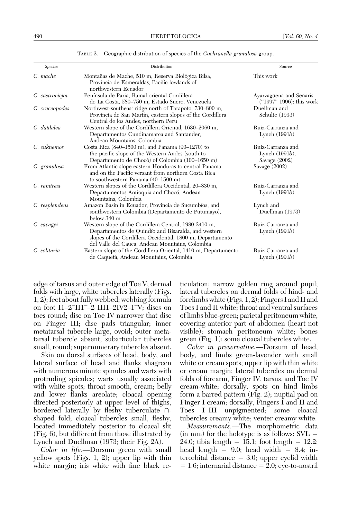| <b>Species</b>  | Distribution                                                                                                                                                                                                                 | Source                                                    |
|-----------------|------------------------------------------------------------------------------------------------------------------------------------------------------------------------------------------------------------------------------|-----------------------------------------------------------|
| C. mache        | Montañas de Mache, 510 m, Reserva Biológica Bilsa,<br>Provincia de Esmeraldas, Pacific lowlands of<br>northwestern Ecuador                                                                                                   | This work                                                 |
| C. castroviejoi | Península de Paria, Ramal oriental Cordillera<br>de La Costa, 580–750 m, Estado Sucre, Venezuela                                                                                                                             | Ayarzagüena and Señaris<br>("1997" 1996); this work       |
| C. croceopodes  | Northwest-southeast ridge north of Tarapoto, 730–800 m,<br>Provincia de San Martín, eastern slopes of the Cordillera<br>Central de los Andes, northern Peru                                                                  | Duellman and<br>Schulte (1993)                            |
| C. daidalea     | Western slope of the Cordillera Oriental, 1630–2060 m,<br>Departamentos Cundinamarca and Santander,<br>Andean Mountains, Colombia                                                                                            | Ruiz-Carranza and<br>Lynch $(1991b)$                      |
| C. euknemos     | Costa Rica $(840-1500 \text{ m})$ , and Panama $(90-1270)$ to<br>the pacific slope of the Western Andes (south to<br>Departamento de Chocó) of Colombia (100–1650 m)                                                         | Ruiz-Carranza and<br>Lynch $(1991b)$ ,<br>Savage $(2002)$ |
| C. granulosa    | From Atlantic slope eastern Honduras to central Panama<br>and on the Pacific versant from northern Costa Rica<br>to southwestern Panama $(40-1500 \text{ m})$                                                                | Savage $(2002)$                                           |
| C. ramirezi     | Western slopes of the Cordillera Occidental, 20–830 m,<br>Departamentos Antioquia and Chocó, Andean<br>Mountains, Colombia                                                                                                   | Ruiz-Carranza and<br>Lynch $(1991b)$                      |
| C. resplendens  | Amazon Basin in Ecuador, Provincia de Sucumbíos, and<br>southwestern Colombia (Departamento de Putumayo),<br>below 340 m                                                                                                     | Lynch and<br>Duellman (1973)                              |
| C. savagei      | Western slope of the Cordillera Central, 1980-2410 m,<br>Departamentos de Quindío and Risaralda, and western<br>slopes of the Cordillera Occidental, 1800 m, Departamento<br>del Valle del Cauca, Andean Mountains, Colombia | Ruiz-Carranza and<br>Lynch $(1991b)$                      |
| C. solitaria    | Eastern slope of the Cordillera Oriental, 1410 m, Departamento<br>de Caquetá, Andean Mountains, Colombia                                                                                                                     | Ruiz-Carranza and<br>Lynch $(1991b)$                      |

TABLE 2.—Geographic distribution of species of the Cochranella granulosa group.

edge of tarsus and outer edge of Toe V; dermal folds with large, white tubercles laterally (Figs. 1, 2); feet about fully webbed; webbing formula on foot  $I1-2$ <sup>-</sup> $II1$ <sup>- $-2$ </sup>  $III1-2$ IV2 $-1$ <sup>-</sup>V; discs on toes round; disc on Toe IV narrower that disc on Finger III; disc pads triangular; inner metatarsal tubercle large, ovoid; outer metatarsal tubercle absent; subarticular tubercles small, round; supernumerary tubercles absent.

Skin on dorsal surfaces of head, body, and lateral surface of head and flanks shagreen with numerous minute spinules and warts with protruding spicules; warts usually associated with white spots; throat smooth, cream; belly and lower flanks areolate; cloacal opening directed posteriorly at upper level of thighs, bordered laterally by fleshy tuberculate  $\cap$ shaped fold; cloacal tubercles small, fleshy, located immediately posterior to cloacal slit (Fig. 6), but different from those illustrated by Lynch and Duellman (1973; their Fig. 2A).

Color in life.—Dorsum green with small yellow spots (Figs. 1, 2); upper lip with thin white margin; iris white with fine black reticulation; narrow golden ring around pupil; lateral tubercles on dermal folds of hind- and forelimbs white (Figs. 1, 2); Fingers I and II and Toes I and II white; throat and ventral surfaces of limbs blue-green; parietal peritoneum white, covering anterior part of abdomen (heart not visible); stomach peritoneum white; bones green (Fig. 1); some cloacal tubercles white.

Color in preservative.—Dorsum of head, body, and limbs green-lavender with small white or cream spots; upper lip with thin white or cream margin; lateral tubercles on dermal folds of forearm, Finger IV, tarsus, and Toe IV cream-white; dorsally, spots on hind limbs form a barred pattern (Fig. 2); nuptial pad on Finger I cream; dorsally, Fingers I and II and Toes I–III unpigmented; some cloacal tubercles creamy white; venter creamy white.

Measurements.—The morphometric data  $(in \, mm)$  for the holotype is as follows:  $SVL =$ 24.0; tibia length = 15.1; foot length = 12.2; head length  $= 9.0$ ; head width  $= 8.4$ ; interorbital distance  $=$  3.0; upper eyelid width  $= 1.6$ ; internarial distance  $= 2.0$ ; eye-to-nostril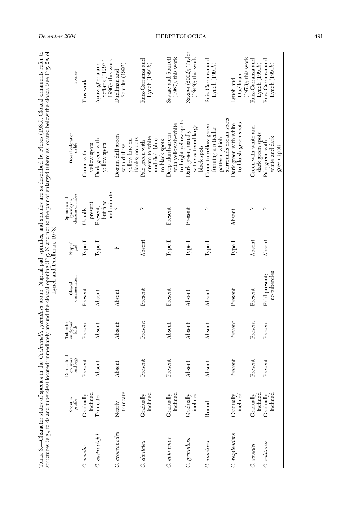|                 |                                                                  |                                     |                                 |                               | Lynch and Duellman, 1973). |                                                | structures (e.g., folds and tubercles) located immediately around the cloacal opening (Fig. 6) and not to the pair of enlarged tubercles located below the cloaca (see Fig. 2A of<br>TABLE 3.—Character states of species in the Cochranella granulosa group. Nuptial pad, spinules, and spicules are as described by Flores (1985). Cloacal ornaments refer to |                                                        |
|-----------------|------------------------------------------------------------------|-------------------------------------|---------------------------------|-------------------------------|----------------------------|------------------------------------------------|-----------------------------------------------------------------------------------------------------------------------------------------------------------------------------------------------------------------------------------------------------------------------------------------------------------------------------------------------------------------|--------------------------------------------------------|
|                 | $\begin{array}{c} \text{Snout in} \\ \text{profile} \end{array}$ | Dermal folds<br>on arms<br>and legs | Tubercles<br>on dermal<br>folds | ornamentation<br>Cloacal      | Nuptial<br>pad             | dorsum of males<br>Spinules and<br>spicules in | Dorsal coloration                                                                                                                                                                                                                                                                                                                                               | Source                                                 |
| C. mache        | inclined<br>Gradually                                            | Present                             | Present                         | Present                       | Type <sub>1</sub>          | present<br>Usually                             | yellow spots<br>Green with                                                                                                                                                                                                                                                                                                                                      | This work                                              |
| C. castroviejoi | Truncate                                                         | Absent                              | Absent                          | Absent                        | Type I                     | and minute<br>but few<br>Present,              | Dark green with<br>yellow spots                                                                                                                                                                                                                                                                                                                                 | 1996); this work<br>Señaris ("1997"<br>Ayarzagüena and |
| C. croceopodes  | truncate<br>Nearly                                               | Absent                              | Absent                          | Absent                        | Ω.                         |                                                | Dosum dull green<br>yellow line on<br>with diffuse                                                                                                                                                                                                                                                                                                              | Schulte (1993)<br>Duellman and                         |
| C. daidalea     | inclined<br>Gradually                                            | Present                             | Present                         | Present                       | Absent                     | Ω.                                             | cream to white<br>flanks; no dots<br>and dark blue<br>Pale green with                                                                                                                                                                                                                                                                                           | Ruiz-Carranza and<br>Lynch $(1991b)$                   |
| C. euknemos     | inclined<br>Gradually                                            | Present                             | Absent                          | Present                       | Type I                     | Present                                        | to bright yellow spots<br>with yellowish-white<br>Deep bluish-green<br>to black spots                                                                                                                                                                                                                                                                           | Savage and Starrett<br>$(1967)$ ; this work            |
| C. granulosa    | inclined<br>Gradually                                            | Absent                              | Absent                          | Absent                        | Type I                     | Present                                        | with scattered large<br>Dark green, usually<br>black spots                                                                                                                                                                                                                                                                                                      | Savage (2002); Taylor<br>$(1949)$ ; this work          |
| C. ramirezi     | Round                                                            | Absent                              | Absent                          | Absent                        | Type I                     | Ω.                                             | surrounds cream spots<br>Green to yellow-green<br>forming a reticular<br>pattern, which                                                                                                                                                                                                                                                                         | Ruiz-Carranza and<br>Lynch $(1991b)$                   |
| C. resplendens  | inclined<br>Gradually                                            | Present                             | Present                         | Present                       | Type I                     | Absent                                         | to bluish green spots<br>Dark green with white                                                                                                                                                                                                                                                                                                                  | $(1973)$ ; this work<br>Duellman<br>$L$ and            |
| C. savagei      | indined<br>Gradually                                             | Present                             | Present                         | Present                       | Absent                     | Ω.                                             | Green with white and<br>dark green spots                                                                                                                                                                                                                                                                                                                        | Ruiz-Carranza and<br>Lynch $(1991b)$                   |
| C. solitaria    | inclined<br>Gradually                                            | Present                             | Present                         | no tubercles<br>Fold present: | Absent                     | Ω.                                             | white and dark<br>Pale green with<br>green spots                                                                                                                                                                                                                                                                                                                | Ruiz-Carranza and<br>Lynch $(1991b)$                   |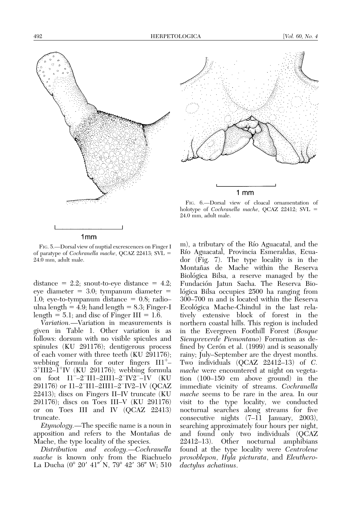

1mm

FIG. 6.—Dorsal view of cloacal ornamentation of holotype of Cochranella mache, QCAZ 22412;  $SVL =$ 24.0 mm, adult male.

1 mm

FIG. 5.—Dorsal view of nuptial excrescences on Finger I of paratype of *Cochranella mache*, QCAZ 22413;  $SVL =$ 24.0 mm, adult male.

distance  $= 2.2$ ; snout-to-eye distance  $= 4.2$ ; eye diameter  $= 3.0$ ; tympanum diameter  $=$ 1.0; eye-to-tympanum distance  $= 0.8$ ; radio– ulna length  $= 4.9$ ; hand length  $= 8.3$ ; Finger-I length  $= 5.1$ ; and disc of Finger III  $= 1.6$ .

Variation.—Variation in measurements is given in Table 1. Other variation is as follows: dorsum with no visible spicules and spinules (KU 291176); dentigerous process of each vomer with three teeth (KU 291176); webbing formula for outer fingers  $III^+$ - $3^+$ III2– $1^+$ IV (KU 291176); webbing formula on foot I1–2II1–2III1–2IV2–1V (KU 291176) or I1-2<sup>-</sup>II1-2III1-2<sup>-</sup>IV2-1V (QCAZ 22413); discs on Fingers II–IV truncate (KU 291176); discs on Toes III–V (KU 291176) or on Toes III and IV (QCAZ 22413) truncate.

Etymology.—The specific name is a noun in apposition and refers to the Montañas de Mache, the type locality of the species.

Distribution and ecology.—Cochranella mache is known only from the Riachuelo La Ducha (0° 20′ 41″ N, 79° 42′ 36″ W; 510 m), a tributary of the Río Aguacatal, and the Rı´o Aguacatal, Provincia Esmeraldas, Ecuador (Fig. 7). The type locality is in the Montañas de Mache within the Reserva Biológica Bilsa, a reserve managed by the Fundación Jatun Sacha. The Reserva Biológica Bilsa occupies 2500 ha ranging from 300–700 m and is located within the Reserva Ecológica Mache-Chindul in the last relatively extensive block of forest in the northern coastal hills. This region is included in the Evergreen Foothill Forest (Bosque Siempreverde Piemontano) Formation as defined by Cerón et al. (1999) and is seasonally rainy; July–September are the dryest months. Two individuals  $(OCAZ 22412-13)$  of C. mache were encountered at night on vegetation (100–150 cm above ground) in the immediate vicinity of streams. Cochranella mache seems to be rare in the area. In our visit to the type locality, we conducted nocturnal searches along streams for five consecutive nights  $(7-\tilde{11})$  January, 2003), searching approximately four hours per night, and found only two individuals (QCAZ 22412–13). Other nocturnal amphibians found at the type locality were Centrolene prosoblepon, Hyla picturata, and Eleutherodactylus achatinus.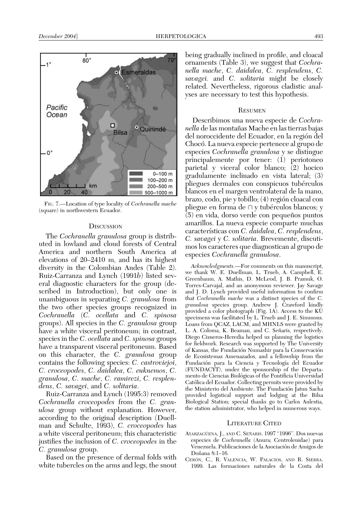

FIG. 7.—Location of type locality of Cochranella mache (square) in northwestern Ecuador.

## **DISCUSSION**

The Cochranella granulosa group is distributed in lowland and cloud forests of Central America and northern South America at elevations of 20–2410 m, and has its highest diversity in the Colombian Andes (Table 2). Ruiz-Carranza and Lynch (1991b) listed several diagnostic characters for the group (described in Introduction), but only one is unambiguous in separating C. granulosa from the two other species groups recognized in Cochranella (C. ocellata and C. spinosa groups). All species in the C. granulosa group have a white visceral peritoneum; in contrast, species in the C. *ocellata* and C. *spinosa* groups have a transparent visceral peritoneum. Based on this character, the C. granulosa group contains the following species: C. castroviejoi, C. croceopodes, C. daidalea, C. euknemos, C. granulosa, C. mache, C. ramirezi, C. resplendens, C. savagei, and C. solitaria.

Ruiz-Carranza and Lynch (1995:3) removed Cochranella croceopodes from the C. granulosa group without explanation. However, according to the original description (Duellman and Schulte, 1993), C. croceopodes has a white visceral peritoneum; this characteristic justifies the inclusion of C. croceopodes in the C. granulosa group.

Based on the presence of dermal folds with white tubercles on the arms and legs, the snout

being gradually inclined in profile, and cloacal ornaments (Table 3), we suggest that *Cochra*nella mache, C. daidalea, C. resplendens, C. savagei. and C. solitaria might be closely related. Nevertheless, rigorous cladistic analyses are necessary to test this hypothesis.

#### **RESUMEN**

Describimos una nueva especie de Cochra*nella* de las montañas Mache en las tierras bajas del noroccidente del Ecuador, en la región del Choco´. La nueva especie pertenece al grupo de especies Cochranella granulosa y se distingue principalemente por tener: (1) periotoneo parietal y viceral color blanco; (2) hocico gradulamente inclinado en vista lateral; (3) pliegues dermales con conspicuos tubérculos blancos en el margen ventrolateral de la mano, brazo, codo, pie y tobillo; (4) región cloacal con pliegue en forma de  $\cap$  y tubérculos blancos; y (5) en vida, dorso verde con pequeños puntos amarillos. La nueva especie comparte muchas características con C.  $\tilde{d}$ aidalea, C. resplendens, C. savagei y C. solitaria. Brevemente, discutimos los caracteres que diagnostican al grupo de especies Cochranella granulosa.

Acknowledgments.—For comments on this manuscript, we thank W. E. Duellman, L. Trueb, A. Campbell, E. Greenbaum, A. Mathis, D. McLeod, J. B. Pramuk, O. Torres-Carvajal, and an anonymous reviewer. Jay Savage and J. D. Lynch provided useful information to confirm that Cochranella mache was a distinct species of the C. granulosa species group. Andrew J. Crawford kindly provided a color photograph (Fig. 1A). Access to the KU specimens was facilitated by L. Trueb and J. E. Simmons. Loans from QCAZ, LACM, and MHNLS were granted by L. A. Coloma, K. Beaman, and C. Señaris, respectively. Diego Cisneros-Heredia helped us planning the logistics for fieldwork. Research was supported by The University of Kansas, the Fundación Numashir para la Conservación de Ecosistemas Amenazados, and a fellowship from the Fundación para la Ciencia y Tecnología del Ecuador (FUNDACYT), under the sponsorship of the Departamento de Ciencias Biológicas of the Pontificia Universidad Católica del Ecuador. Collecting permits were provided by the Ministerio del Ambiente. The Fundación Jatun Sacha provided logistical support and lodging at the Bilsa Biological Station; special thanks go to Carlos Aulestia, the station administrator, who helped in numerous ways.

#### LITERATURE CITED

- AYARZAGÜENA, J., AND C. SEÑARIS. 1997 "1996". Dos nuevas especies de Cochranella (Anura; Centrolenidae) para Venezuela. Publicaciones de la Asociación de Amigos de Doñana 8:1-16.
- CERÓN, C., R. VALENCIA, W. PALACIOS, AND R. SIERRA. 1999. Las formaciones naturales de la Costa del